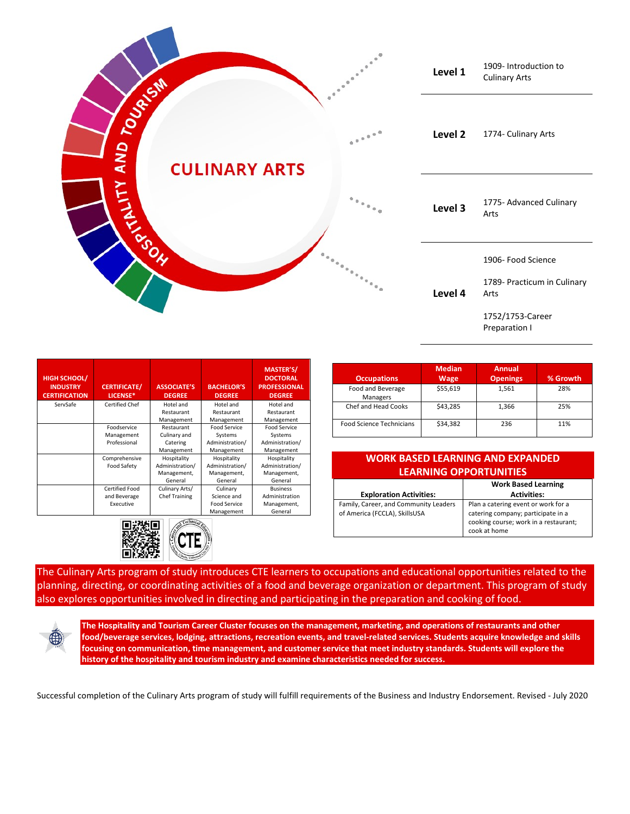

| <b>HIGH SCHOOL/</b><br><b>INDUSTRY</b><br><b>CERTIFICATION</b> | <b>CERTIFICATE/</b><br>LICENSE* | <b>ASSOCIATE'S</b><br><b>DEGREE</b> | <b>BACHELOR'S</b><br><b>DEGREE</b> | <b>MASTER'S/</b><br><b>DOCTORAL</b><br><b>PROFESSIONAL</b><br><b>DEGREE</b> |
|----------------------------------------------------------------|---------------------------------|-------------------------------------|------------------------------------|-----------------------------------------------------------------------------|
| ServSafe                                                       | <b>Certified Chef</b>           | Hotel and                           | Hotel and                          | Hotel and                                                                   |
|                                                                |                                 | Restaurant                          | Restaurant                         | Restaurant                                                                  |
|                                                                |                                 | Management                          | Management                         | Management                                                                  |
|                                                                | Foodservice                     | Restaurant                          | Food Service                       | Food Service                                                                |
|                                                                | Management                      | Culinary and                        | Systems                            | Systems                                                                     |
|                                                                | Professional                    | Catering                            | Administration/                    | Administration/                                                             |
|                                                                |                                 | Management                          | Management                         | Management                                                                  |
|                                                                | Comprehensive                   | Hospitality                         | Hospitality                        | Hospitality                                                                 |
|                                                                | <b>Food Safety</b>              | Administration/                     | Administration/                    | Administration/                                                             |
|                                                                |                                 | Management,                         | Management,                        | Management,                                                                 |
|                                                                |                                 | General                             | General                            | General                                                                     |
|                                                                | Certified Food                  | Culinary Arts/                      | Culinary                           | <b>Business</b>                                                             |
|                                                                | and Beverage                    | <b>Chef Training</b>                | Science and                        | Administration                                                              |
|                                                                | Executive                       |                                     | <b>Food Service</b>                | Management,                                                                 |
|                                                                |                                 |                                     | Management                         | General                                                                     |



| <b>Occupations</b>              | <b>Median</b><br><b>Wage</b> | <b>Annual</b><br><b>Openings</b> | % Growth |
|---------------------------------|------------------------------|----------------------------------|----------|
| Food and Beverage<br>Managers   | \$55,619                     | 1,561                            | 28%      |
| Chef and Head Cooks             | \$43,285                     | 1,366                            | 25%      |
| <b>Food Science Technicians</b> | \$34,382                     | 236                              | 11%      |

## **WORK BASED LEARNING AND EXPANDED LEARNING OPPORTUNITIES**

|                                       | <b>Work Based Learning</b>            |  |
|---------------------------------------|---------------------------------------|--|
| <b>Exploration Activities:</b>        | <b>Activities:</b>                    |  |
| Family, Career, and Community Leaders | Plan a catering event or work for a   |  |
| of America (FCCLA), SkillsUSA         | catering company; participate in a    |  |
|                                       | cooking course; work in a restaurant; |  |
|                                       | cook at home                          |  |

The Culinary Arts program of study introduces CTE learners to occupations and educational opportunities related to the planning, directing, or coordinating activities of a food and beverage organization or department. This program of study also explores opportunities involved in directing and participating in the preparation and cooking of food.



**The Hospitality and Tourism Career Cluster focuses on the management, marketing, and operations of restaurants and other food/beverage services, lodging, attractions, recreation events, and travel-related services. Students acquire knowledge and skills focusing on communication, time management, and customer service that meet industry standards. Students will explore the history of the hospitality and tourism industry and examine characteristics needed for success.**

Successful completion of the Culinary Arts program of study will fulfill requirements of the Business and Industry Endorsement. Revised - July 2020